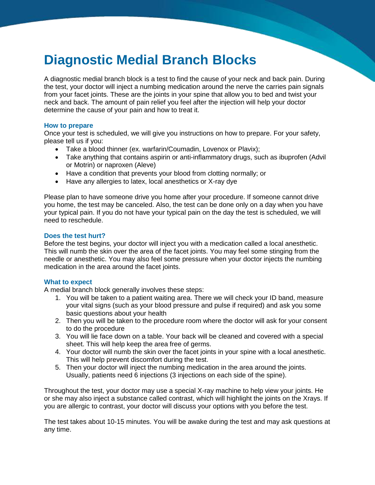# **Diagnostic Medial Branch Blocks**

A diagnostic medial branch block is a test to find the cause of your neck and back pain. During the test, your doctor will inject a numbing medication around the nerve the carries pain signals from your facet joints. These are the joints in your spine that allow you to bed and twist your neck and back. The amount of pain relief you feel after the injection will help your doctor determine the cause of your pain and how to treat it.

## **How to prepare**

Once your test is scheduled, we will give you instructions on how to prepare. For your safety, please tell us if you:

- Take a blood thinner (ex. warfarin/Coumadin, Lovenox or Plavix);
- Take anything that contains aspirin or anti-inflammatory drugs, such as ibuprofen (Advil or Motrin) or naproxen (Aleve)
- Have a condition that prevents your blood from clotting normally; or
- Have any allergies to latex, local anesthetics or X-ray dye

Please plan to have someone drive you home after your procedure. If someone cannot drive you home, the test may be canceled. Also, the test can be done only on a day when you have your typical pain. If you do not have your typical pain on the day the test is scheduled, we will need to reschedule.

## **Does the test hurt?**

Before the test begins, your doctor will inject you with a medication called a local anesthetic. This will numb the skin over the area of the facet joints. You may feel some stinging from the needle or anesthetic. You may also feel some pressure when your doctor injects the numbing medication in the area around the facet joints.

## **What to expect**

A medial branch block generally involves these steps:

- 1. You will be taken to a patient waiting area. There we will check your ID band, measure your vital signs (such as your blood pressure and pulse if required) and ask you some basic questions about your health
- 2. Then you will be taken to the procedure room where the doctor will ask for your consent to do the procedure
- 3. You will lie face down on a table. Your back will be cleaned and covered with a special sheet. This will help keep the area free of germs.
- 4. Your doctor will numb the skin over the facet joints in your spine with a local anesthetic. This will help prevent discomfort during the test.
- 5. Then your doctor will inject the numbing medication in the area around the joints. Usually, patients need 6 injections (3 injections on each side of the spine).

Throughout the test, your doctor may use a special X-ray machine to help view your joints. He or she may also inject a substance called contrast, which will highlight the joints on the Xrays. If you are allergic to contrast, your doctor will discuss your options with you before the test.

The test takes about 10-15 minutes. You will be awake during the test and may ask questions at any time.